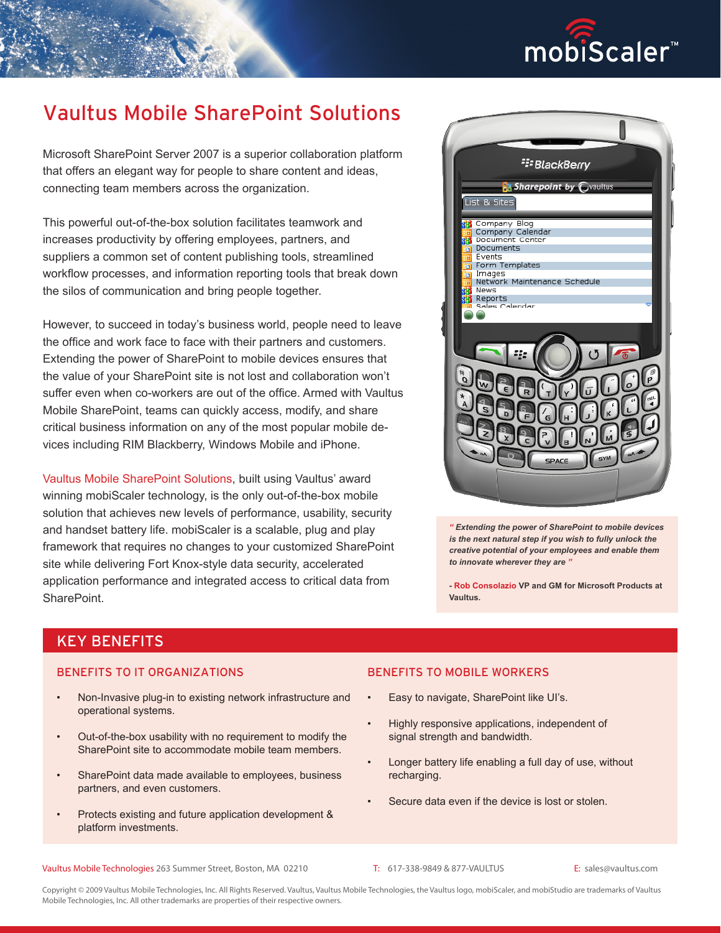

# Vaultus Mobile SharePoint Solutions

Microsoft SharePoint Server 2007 is a superior collaboration platform that offers an elegant way for people to share content and ideas, connecting team members across the organization.

This powerful out-of-the-box solution facilitates teamwork and increases productivity by offering employees, partners, and suppliers a common set of content publishing tools, streamlined workflow processes, and information reporting tools that break down the silos of communication and bring people together.

However, to succeed in today's business world, people need to leave the office and work face to face with their partners and customers. Extending the power of SharePoint to mobile devices ensures that the value of your SharePoint site is not lost and collaboration won't suffer even when co-workers are out of the office. Armed with Vaultus Mobile SharePoint, teams can quickly access, modify, and share critical business information on any of the most popular mobile devices including RIM Blackberry, Windows Mobile and iPhone.

Vaultus Mobile SharePoint Solutions, built using Vaultus' award winning mobiScaler technology, is the only out-of-the-box mobile solution that achieves new levels of performance, usability, security and handset battery life. mobiScaler is a scalable, plug and play framework that requires no changes to your customized SharePoint site while delivering Fort Knox-style data security, accelerated application performance and integrated access to critical data from SharePoint.



*" Extending the power of SharePoint to mobile devices is the next natural step if you wish to fully unlock the creative potential of your employees and enable them to innovate wherever they are "*

**- Rob Consolazio VP and GM for Microsoft Products at Vaultus.**

# KEY BENEFITS

## BENEFITS TO IT ORGANIZATIONS

- Non-Invasive plug-in to existing network infrastructure and operational systems.
- Out-of-the-box usability with no requirement to modify the SharePoint site to accommodate mobile team members.
- SharePoint data made available to employees, business partners, and even customers.
- Protects existing and future application development & platform investments.

### BENEFITS TO MOBILE WORKERS

- Easy to navigate, SharePoint like UI's.
- Highly responsive applications, independent of signal strength and bandwidth.
- Longer battery life enabling a full day of use, without recharging.
- Secure data even if the device is lost or stolen.

Vaultus Mobile Technologies 263 Summer Street, Boston, MA 02210 T: 617-338-9849 & 877-VAULTUS E: sales@vaultus.com

Copyright © 2009 Vaultus Mobile Technologies, Inc. All Rights Reserved. Vaultus, Vaultus Mobile Technologies, the Vaultus logo, mobiScaler, and mobiStudio are trademarks of Vaultus Mobile Technologies, Inc. All other trademarks are properties of their respective owners.